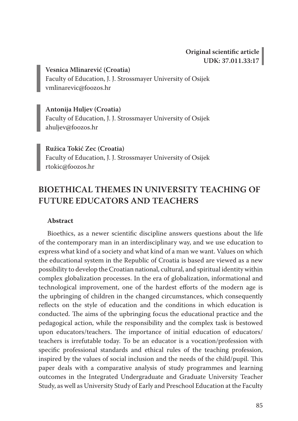**Vesnica Mlinarević (Croatia)** Faculty of Education, J. J. Strossmayer University of Osijek vmlinarevic@foozos.hr

**Antonija Huljev (Croatia)** Faculty of Education, J. J. Strossmayer University of Osijek ahuljev@foozos.hr

**Ružica Tokić Zec (Croatia)** Faculty of Education, J. J. Strossmayer University of Osijek rtokic@foozos.hr

## **BIOETHICAL THEMES IN UNIVERSITY TEACHING OF FUTURE EDUCATORS AND TEACHERS**

#### **Abstract**

Bioethics, as a newer scientific discipline answers questions about the life of the contemporary man in an interdisciplinary way, and we use education to express what kind of a society and what kind of a man we want. Values on which the educational system in the Republic of Croatia is based are viewed as a new possibility to develop the Croatian national, cultural, and spiritual identity within complex globalization processes. In the era of globalization, informational and technological improvement, one of the hardest efforts of the modern age is the upbringing of children in the changed circumstances, which consequently reflects on the style of education and the conditions in which education is conducted. The aims of the upbringing focus the educational practice and the pedagogical action, while the responsibility and the complex task is bestowed upon educators/teachers. The importance of initial education of educators/ teachers is irrefutable today. To be an educator is a vocation/profession with specific professional standards and ethical rules of the teaching profession, inspired by the values of social inclusion and the needs of the child/pupil. This paper deals with a comparative analysis of study programmes and learning outcomes in the Integrated Undergraduate and Graduate University Teacher Study, as well as University Study of Early and Preschool Education at the Faculty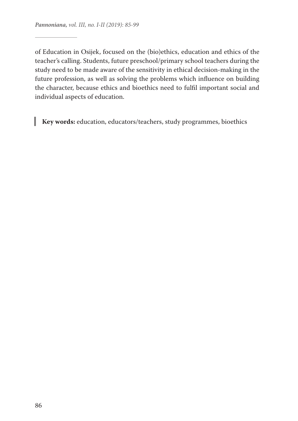of Education in Osijek, focused on the (bio)ethics, education and ethics of the teacher's calling. Students, future preschool/primary school teachers during the study need to be made aware of the sensitivity in ethical decision-making in the future profession, as well as solving the problems which influence on building the character, because ethics and bioethics need to fulfil important social and individual aspects of education.

**Key words:** education, educators/teachers, study programmes, bioethics

ı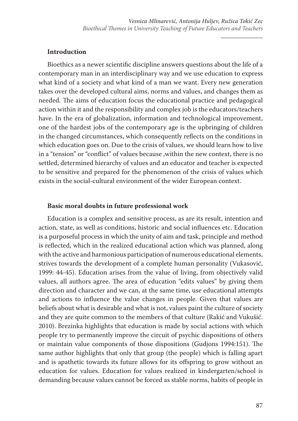### **Introduction**

Bioethics as a newer scientific discipline answers questions about the life of a contemporary man in an interdisciplinary way and we use education to express what kind of a society and what kind of a man we want. Every new generation takes over the developed cultural aims, norms and values, and changes them as needed. The aims of education focus the educational practice and pedagogical action within it and the responsibility and complex job is the educators/teachers have. In the era of globalization, information and technological improvement, one of the hardest jobs of the contemporary age is the upbringing of children in the changed circumstances, which consequently reflects on the conditions in which education goes on. Due to the crisis of values, we should learn how to live in a "tension" or "conflict" of values because ,within the new context, there is no settled, determined hierarchy of values and an educator and teacher is expected to be sensitive and prepared for the phenomenon of the crisis of values which exists in the social-cultural environment of the wider European context.

#### **Basic moral doubts in future professional work**

Education is a complex and sensitive process, as are its result, intention and action, state, as well as conditions, historic and social influences etc. Education is a purposeful process in which the unity of aim and task, principle and method is reflected, which in the realized educational action which was planned, along with the active and harmonious participation of numerous educational elements, strives towards the development of a complete human personality (Vukasović, 1999: 44-45). Education arises from the value of living, from objectively valid values, all authors agree. The area of education "edits values" by giving them direction and character and we can, at the same time, use educational attempts and actions to influence the value changes in people. Given that values are beliefs about what is desirable and what is not, values paint the culture of society and they are quite common to the members of that culture (Rakić and Vukušić. 2010). Brezinka highlights that education is made by social actions with which people try to permanently improve the circuit of psychic dispositions of others or maintain value components of those dispositions (Gudjons 1994:151). The same author highlights that only that group (the people) which is falling apart and is apathetic towards its future allows for its offspring to grow without an education for values. Education for values realized in kindergarten/school is demanding because values cannot be forced as stable norms, habits of people in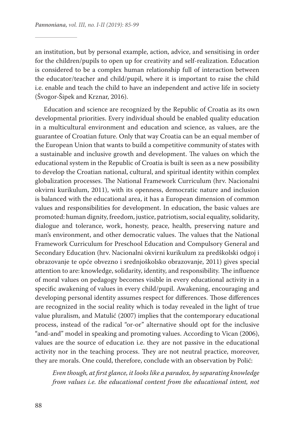an institution, but by personal example, action, advice, and sensitising in order for the children/pupils to open up for creativity and self-realization. Education is considered to be a complex human relationship full of interaction between the educator/teacher and child/pupil, where it is important to raise the child i.e. enable and teach the child to have an independent and active life in society (Švogor-Šipek and Krznar, 2016).

Education and science are recognized by the Republic of Croatia as its own developmental priorities. Every individual should be enabled quality education in a multicultural environment and education and science, as values, are the guarantee of Croatian future. Only that way Croatia can be an equal member of the European Union that wants to build a competitive community of states with a sustainable and inclusive growth and development. The values on which the educational system in the Republic of Croatia is built is seen as a new possibility to develop the Croatian national, cultural, and spiritual identity within complex globalization processes. The National Framework Curriculum (hrv. Nacionalni okvirni kurikulum, 2011), with its openness, democratic nature and inclusion is balanced with the educational area, it has a European dimension of common values and responsibilities for development. In education, the basic values are promoted: human dignity, freedom, justice, patriotism, social equality, solidarity, dialogue and tolerance, work, honesty, peace, health, preserving nature and man's environment, and other democratic values. The values that the National Framework Curriculum for Preschool Education and Compulsory General and Secondary Education (hrv. Nacionalni okvirni kurikulum za predškolski odgoj i obrazovanje te opće obvezno i srednjoškolsko obrazovanje, 2011) gives special attention to are: knowledge, solidarity, identity, and responsibility. The influence of moral values on pedagogy becomes visible in every educational activity in a specific awakening of values in every child/pupil. Awakening, encouraging and developing personal identity assumes respect for differences. Those differences are recognized in the social reality which is today revealed in the light of true value pluralism, and Matulić (2007) implies that the contemporary educational process, instead of the radical "or-or" alternative should opt for the inclusive "and-and" model in speaking and promoting values. According to Vican (2006), values are the source of education i.e. they are not passive in the educational activity nor in the teaching process. They are not neutral practice, moreover, they are morals. One could, therefore, conclude with an observation by Polić:

*Even though, at first glance, it looks like a paradox, by separating knowledge from values i.e. the educational content from the educational intent, not*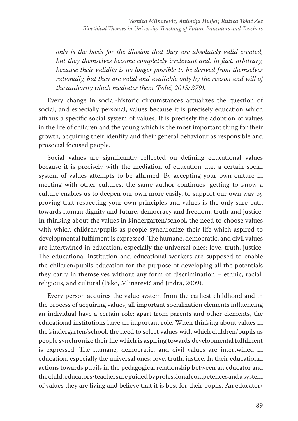*only is the basis for the illusion that they are absolutely valid created, but they themselves become completely irrelevant and, in fact, arbitrary, because their validity is no longer possible to be derived from themselves rationally, but they are valid and available only by the reason and will of the authority which mediates them (Polić, 2015: 379).*

Every change in social-historic circumstances actualizes the question of social, and especially personal, values because it is precisely education which affirms a specific social system of values. It is precisely the adoption of values in the life of children and the young which is the most important thing for their growth, acquiring their identity and their general behaviour as responsible and prosocial focused people.

Social values are significantly reflected on defining educational values because it is precisely with the mediation of education that a certain social system of values attempts to be affirmed. By accepting your own culture in meeting with other cultures, the same author continues, getting to know a culture enables us to deepen our own more easily, to support our own way by proving that respecting your own principles and values is the only sure path towards human dignity and future, democracy and freedom, truth and justice. In thinking about the values in kindergarten/school, the need to choose values with which children/pupils as people synchronize their life which aspired to developmental fulfilment is expressed. The humane, democratic, and civil values are intertwined in education, especially the universal ones: love, truth, justice. The educational institution and educational workers are supposed to enable the children/pupils education for the purpose of developing all the potentials they carry in themselves without any form of discrimination – ethnic, racial, religious, and cultural (Peko, Mlinarević and Jindra, 2009).

Every person acquires the value system from the earliest childhood and in the process of acquiring values, all important socialization elements influencing an individual have a certain role; apart from parents and other elements, the educational institutions have an important role. When thinking about values in the kindergarten/school, the need to select values with which children/pupils as people synchronize their life which is aspiring towards developmental fulfilment is expressed. The humane, democratic, and civil values are intertwined in education, especially the universal ones: love, truth, justice. In their educational actions towards pupils in the pedagogical relationship between an educator and the child, educators/teachers are guided by professional competences and a system of values they are living and believe that it is best for their pupils. An educator/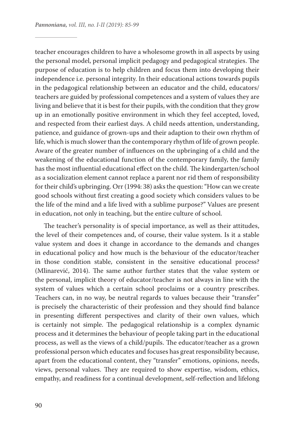teacher encourages children to have a wholesome growth in all aspects by using the personal model, personal implicit pedagogy and pedagogical strategies. The purpose of education is to help children and focus them into developing their independence i.e. personal integrity. In their educational actions towards pupils in the pedagogical relationship between an educator and the child, educators/ teachers are guided by professional competences and a system of values they are living and believe that it is best for their pupils, with the condition that they grow up in an emotionally positive environment in which they feel accepted, loved, and respected from their earliest days. A child needs attention, understanding, patience, and guidance of grown-ups and their adaption to their own rhythm of life, which is much slower than the contemporary rhythm of life of grown people. Aware of the greater number of influences on the upbringing of a child and the weakening of the educational function of the contemporary family, the family has the most influential educational effect on the child. The kindergarten/school as a socialization element cannot replace a parent nor rid them of responsibility for their child's upbringing. Orr (1994: 38) asks the question: "How can we create good schools without first creating a good society which considers values to be the life of the mind and a life lived with a sublime purpose?" Values are present in education, not only in teaching, but the entire culture of school.

The teacher's personality is of special importance, as well as their attitudes, the level of their competences and, of course, their value system. Is it a stable value system and does it change in accordance to the demands and changes in educational policy and how much is the behaviour of the educator/teacher in those condition stable, consistent in the sensitive educational process? (Mlinarević, 2014). The same author further states that the value system or the personal, implicit theory of educator/teacher is not always in line with the system of values which a certain school proclaims or a country prescribes. Teachers can, in no way, be neutral regards to values because their "transfer" is precisely the characteristic of their profession and they should find balance in presenting different perspectives and clarity of their own values, which is certainly not simple. The pedagogical relationship is a complex dynamic process and it determines the behaviour of people taking part in the educational process, as well as the views of a child/pupils. The educator/teacher as a grown professional person which educates and focuses has great responsibility because, apart from the educational content, they "transfer" emotions, opinions, needs, views, personal values. They are required to show expertise, wisdom, ethics, empathy, and readiness for a continual development, self-reflection and lifelong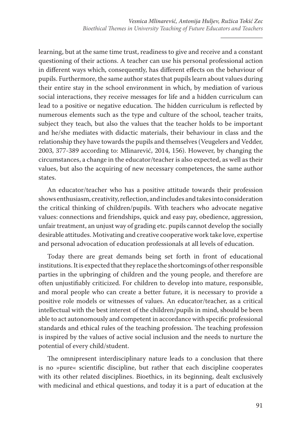learning, but at the same time trust, readiness to give and receive and a constant questioning of their actions. A teacher can use his personal professional action in different ways which, consequently, has different effects on the behaviour of pupils. Furthermore, the same author states that pupils learn about values during their entire stay in the school environment in which, by mediation of various social interactions, they receive messages for life and a hidden curriculum can lead to a positive or negative education. The hidden curriculum is reflected by numerous elements such as the type and culture of the school, teacher traits, subject they teach, but also the values that the teacher holds to be important and he/she mediates with didactic materials, their behaviour in class and the relationship they have towards the pupils and themselves (Veugelers and Vedder, 2003, 377-389 according to: Mlinarević, 2014, 156). However, by changing the circumstances, a change in the educator/teacher is also expected, as well as their values, but also the acquiring of new necessary competences, the same author states.

An educator/teacher who has a positive attitude towards their profession shows enthusiasm, creativity, reflection, and includes and takes into consideration the critical thinking of children/pupils. With teachers who advocate negative values: connections and friendships, quick and easy pay, obedience, aggression, unfair treatment, an unjust way of grading etc. pupils cannot develop the socially desirable attitudes. Motivating and creative cooperative work take love, expertise and personal advocation of education professionals at all levels of education.

Today there are great demands being set forth in front of educational institutions. It is expected that they replace the shortcomings of other responsible parties in the upbringing of children and the young people, and therefore are often unjustifiably criticized. For children to develop into mature, responsible, and moral people who can create a better future, it is necessary to provide a positive role models or witnesses of values. An educator/teacher, as a critical intellectual with the best interest of the children/pupils in mind, should be been able to act autonomously and competent in accordance with specific professional standards and ethical rules of the teaching profession. The teaching profession is inspired by the values of active social inclusion and the needs to nurture the potential of every child/student.

The omnipresent interdisciplinary nature leads to a conclusion that there is no »pure« scientific discipline, but rather that each discipline cooperates with its other related disciplines. Bioethics, in its beginning, dealt exclusively with medicinal and ethical questions, and today it is a part of education at the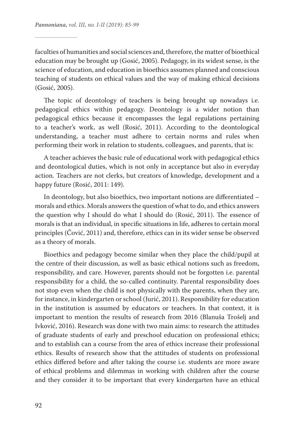faculties of humanities and social sciences and, therefore, the matter of bioethical education may be brought up (Gosić, 2005). Pedagogy, in its widest sense, is the science of education, and education in bioethics assumes planned and conscious teaching of students on ethical values and the way of making ethical decisions (Gosić, 2005).

The topic of deontology of teachers is being brought up nowadays i.e. pedagogical ethics within pedagogy. Deontology is a wider notion than pedagogical ethics because it encompasses the legal regulations pertaining to a teacher's work, as well (Rosić, 2011). According to the deontological understanding, a teacher must adhere to certain norms and rules when performing their work in relation to students, colleagues, and parents, that is:

A teacher achieves the basic rule of educational work with pedagogical ethics and deontological duties, which is not only in acceptance but also in everyday action. Teachers are not clerks, but creators of knowledge, development and a happy future (Rosić, 2011: 149).

In deontology, but also bioethics, two important notions are differentiated – morals and ethics. Morals answers the question of what to do, and ethics answers the question why I should do what I should do (Rosić, 2011). The essence of morals is that an individual, in specific situations in life, adheres to certain moral principles (Čović, 2011) and, therefore, ethics can in its wider sense be observed as a theory of morals.

Bioethics and pedagogy become similar when they place the child/pupil at the centre of their discussion, as well as basic ethical notions such as freedom, responsibility, and care. However, parents should not be forgotten i.e. parental responsibility for a child, the so-called continuity. Parental responsibility does not stop even when the child is not physically with the parents, when they are, for instance, in kindergarten or school (Jurić, 2011). Responsibility for education in the institution is assumed by educators or teachers. In that context, it is important to mention the results of research from 2016 (Blanuša Trošelj and Ivković, 2016). Research was done with two main aims: to research the attitudes of graduate students of early and preschool education on professional ethics; and to establish can a course from the area of ethics increase their professional ethics. Results of research show that the attitudes of students on professional ethics differed before and after taking the course i.e. students are more aware of ethical problems and dilemmas in working with children after the course and they consider it to be important that every kindergarten have an ethical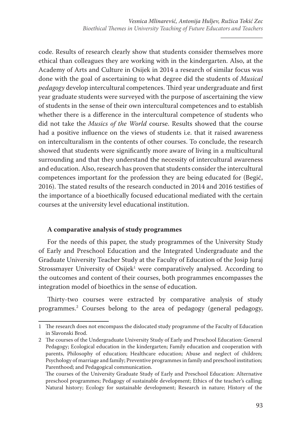code. Results of research clearly show that students consider themselves more ethical than colleagues they are working with in the kindergarten. Also, at the Academy of Arts and Culture in Osijek in 2014 a research of similar focus was done with the goal of ascertaining to what degree did the students of *Musical pedagogy* develop intercultural competences. Third year undergraduate and first year graduate students were surveyed with the purpose of ascertaining the view of students in the sense of their own intercultural competences and to establish whether there is a difference in the intercultural competence of students who did not take the *Musics of the World* course. Results showed that the course had a positive influence on the views of students i.e. that it raised awareness on interculturalism in the contents of other courses. To conclude, the research showed that students were significantly more aware of living in a multicultural surrounding and that they understand the necessity of intercultural awareness and education. Also, research has proven that students consider the intercultural competences important for the profession they are being educated for (Begić, 2016). The stated results of the research conducted in 2014 and 2016 testifies of the importance of a bioethically focused educational mediated with the certain courses at the university level educational institution.

#### **A comparative analysis of study programmes**

For the needs of this paper, the study programmes of the University Study of Early and Preschool Education and the Integrated Undergraduate and the Graduate University Teacher Study at the Faculty of Education of the Josip Juraj Strossmayer University of Osijek<sup>1</sup> were comparatively analysed. According to the outcomes and content of their courses, both programmes encompasses the integration model of bioethics in the sense of education.

Thirty-two courses were extracted by comparative analysis of study programmes.2 Courses belong to the area of pedagogy (general pedagogy,

<sup>1</sup> The research does not encompass the dislocated study programme of the Faculty of Education in Slavonski Brod.

<sup>2</sup> The courses of the Undergraduate University Study of Early and Preschool Education: General Pedagogy; Ecological education in the kindergarten; Family education and cooperation with parents, Philosophy of education; Healthcare education; Abuse and neglect of children; Psychology of marriage and family; Preventive programmes in family and preschool institution; Parenthood; and Pedagogical communication.

The courses of the University Graduate Study of Early and Preschool Education: Alternative preschool programmes; Pedagogy of sustainable development; Ethics of the teacher's calling; Natural history; Ecology for sustainable development; Research in nature; History of the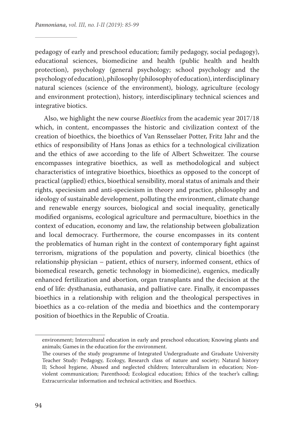pedagogy of early and preschool education; family pedagogy, social pedagogy), educational sciences, biomedicine and health (public health and health protection), psychology (general psychology; school psychology and the psychology of education), philosophy (philosophy of education), interdisciplinary natural sciences (science of the environment), biology, agriculture (ecology and environment protection), history, interdisciplinary technical sciences and integrative biotics.

Also, we highlight the new course *Bioethics* from the academic year 2017/18 which, in content, encompasses the historic and civilization context of the creation of bioethics, the bioethics of Van Rensselaer Potter, Fritz Jahr and the ethics of responsibility of Hans Jonas as ethics for a technological civilization and the ethics of awe according to the life of Albert Schweitzer. The course encompasses integrative bioethics, as well as methodological and subject characteristics of integrative bioethics, bioethics as opposed to the concept of practical (applied) ethics, bioethical sensibility, moral status of animals and their rights, speciesism and anti-speciesism in theory and practice, philosophy and ideology of sustainable development, polluting the environment, climate change and renewable energy sources, biological and social inequality, genetically modified organisms, ecological agriculture and permaculture, bioethics in the context of education, economy and law, the relationship between globalization and local democracy. Furthermore, the course encompasses in its content the problematics of human right in the context of contemporary fight against terrorism, migrations of the population and poverty, clinical bioethics (the relationship physician – patient, ethics of nursery, informed consent, ethics of biomedical research, genetic technology in biomedicine), eugenics, medically enhanced fertilization and abortion, organ transplants and the decision at the end of life: dysthanasia, euthanasia, and palliative care. Finally, it encompasses bioethics in a relationship with religion and the theological perspectives in bioethics as a co-relation of the media and bioethics and the contemporary position of bioethics in the Republic of Croatia.

environment; Intercultural education in early and preschool education; Knowing plants and animals; Games in the education for the environment.

The courses of the study programme of Integrated Undergraduate and Graduate University Teacher Study: Pedagogy, Ecology, Research class of nature and society; Natural history II; School hygiene, Abused and neglected children; Interculturalism in education; Nonviolent communication; Parenthood; Ecological education; Ethics of the teacher's calling; Extracurricular information and technical activities; and Bioethics.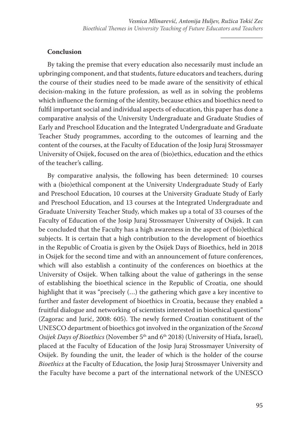## **Conclusion**

By taking the premise that every education also necessarily must include an upbringing component, and that students, future educators and teachers, during the course of their studies need to be made aware of the sensitivity of ethical decision-making in the future profession, as well as in solving the problems which influence the forming of the identity, because ethics and bioethics need to fulfil important social and individual aspects of education, this paper has done a comparative analysis of the University Undergraduate and Graduate Studies of Early and Preschool Education and the Integrated Undergraduate and Graduate Teacher Study programmes, according to the outcomes of learning and the content of the courses, at the Faculty of Education of the Josip Juraj Strossmayer University of Osijek, focused on the area of (bio)ethics, education and the ethics of the teacher's calling.

By comparative analysis, the following has been determined: 10 courses with a (bio)ethical component at the University Undergraduate Study of Early and Preschool Education, 10 courses at the University Graduate Study of Early and Preschool Education, and 13 courses at the Integrated Undergraduate and Graduate University Teacher Study, which makes up a total of 33 courses of the Faculty of Education of the Josip Juraj Strossmayer University of Osijek. It can be concluded that the Faculty has a high awareness in the aspect of (bio)ethical subjects. It is certain that a high contribution to the development of bioethics in the Republic of Croatia is given by the Osijek Days of Bioethics, held in 2018 in Osijek for the second time and with an announcement of future conferences, which will also establish a continuity of the conferences on bioethics at the University of Osijek. When talking about the value of gatherings in the sense of establishing the bioethical science in the Republic of Croatia, one should highlight that it was "precisely (…) the gathering which gave a key incentive to further and faster development of bioethics in Croatia, because they enabled a fruitful dialogue and networking of scientists interested in bioethical questions" (Zagorac and Jurić, 2008: 605). The newly formed Croatian constituent of the UNESCO department of bioethics got involved in the organization of the *Second Osijek Days of Bioethics* (November 5<sup>th</sup> and 6<sup>th</sup> 2018) (University of Hiafa, Israel), placed at the Faculty of Education of the Josip Juraj Strossmayer University of Osijek. By founding the unit, the leader of which is the holder of the course *Bioethics* at the Faculty of Education, the Josip Juraj Strossmayer University and the Faculty have become a part of the international network of the UNESCO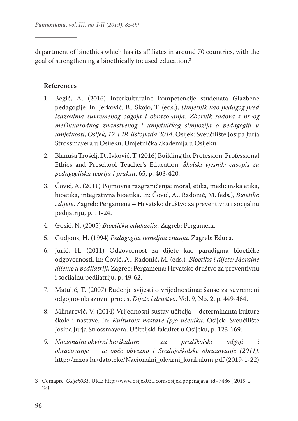department of bioethics which has its affiliates in around 70 countries, with the goal of strengthening a bioethically focused education.3

## **References**

- 1. Begić, A. (2016) Interkulturalne kompetencije studenata Glazbene pedagogije. In: Jerković, B., Škojo, T. (eds.), *Umjetnik kao pedagog pred izazovima suvremenog odgoja i obrazovanja. Zbornik radova s prvog meĎunarodnog znanstvenog i umjetničkog simpozija o pedagogiji u umjetnosti, Osijek, 17. i 18. listopada 2014*. Osijek: Sveučilište Josipa Jurja Strossmayera u Osijeku, Umjetnička akademija u Osijeku.
- 2. Blanuša Trošelj, D., Ivković, T. (2016) Building the Profession: Professional Ethics and Preschool Teacher's Education. *Školski vjesnik: časopis za pedagogijsku teoriju i praksu*, 65, p. 403-420.
- 3. Čović, A. (2011) Pojmovna razgraničenja: moral, etika, medicinska etika, bioetika, integrativna bioetika. In: Čović, A., Radonić, M. (eds*.*)*, Bioetika i dijete*. Zagreb: Pergamena – Hrvatsko društvo za preventivnu i socijalnu pedijatriju, p. 11-24.
- 4. Gosić, N. (2005) *Bioetička edukacija*. Zagreb: Pergamena.
- 5. Gudjons, H. (1994) *Pedagogija temeljna znanja*. Zagreb: Educa.
- 6. Jurić, H. (2011) Odgovornost za dijete kao paradigma bioetičke odgovornosti. In: Čović, A., Radonić, M. (eds.)*, Bioetika i dijete: Moralne dileme u pedijatriji*, Zagreb: Pergamena; Hrvatsko društvo za preventivnu i socijalnu pedijatriju, p. 49-62.
- 7. Matulić, T. (2007) Buđenje svijesti o vrijednostima: šanse za suvremeni odgojno-obrazovni proces. *Dijete i društvo*, Vol. 9, No. 2, p. 449-464.
- 8. Mlinarević, V. (2014) Vrijednosni sustav učitelja determinanta kulture škole i nastave. In: *Kulturom nastave (p)o učeniku*. Osijek: Sveučilište Josipa Jurja Strossmayera, Učiteljski fakultet u Osijeku, p. 123-169.
- *9. Nacionalni okvirni kurikulum za predškolski odgoji i obrazovanje te opće obvezno i Srednjoškolske obrazovanje (2011).* http://mzos.hr/datoteke/Nacionalni\_okvirni\_kurikulum.pdf (2019-1-22)

<sup>3</sup> Comapre: *Osijek031*. URL: http://www.osijek031.com/osijek.php?najava\_id=7486 ( 2019-1- 22)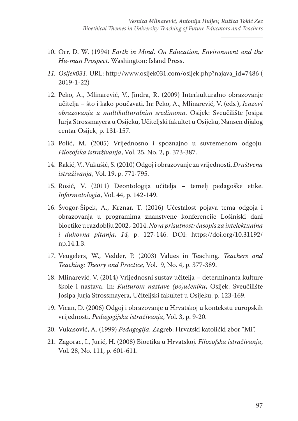- 10. Orr, D. W. (1994) *Earth in Mind. On Education, Environment and the Hu-man Prospect*. Washington: Island Press.
- *11. Osijek031*. URL: http://www.osijek031.com/osijek.php?najava\_id=7486 ( 2019-1-22)
- 12. Peko, A., Mlinarević, V., Jindra, R. (2009) Interkulturalno obrazovanje učitelja − što i kako poučavati. In: Peko, A., Mlinarević, V. (eds*.*), *Izazovi obrazovanja u multikulturalnim sredinama*. Osijek: Sveučilište Josipa Jurja Strossmayera u Osijeku, Učiteljski fakultet u Osijeku, Nansen dijalog centar Osijek, p. 131-157.
- 13. Polić, M. (2005) Vrijednosno i spoznajno u suvremenom odgoju. *Filozofska istraživanja*, Vol. 25, No. 2, p. 373-387.
- 14. Rakić, V., Vukušić, S. (2010) Odgoj i obrazovanje za vrijednosti. *Društvena istraživanja*, Vol. 19, p. 771-795.
- 15. Rosić, V. (2011) Deontologija učitelja temelj pedagoške etike. *Informatologia*, Vol. 44, p. 142-149.
- 16. Švogor-Šipek, A., Krznar, T. (2016) Učestalost pojava tema odgoja i obrazovanja u programima znanstvene konferencije Lošinjski dani bioetike u razdoblju 2002.-2014. *Nova prisutnost: časopis za intelektualna i duhovna pitanja*, *14,* p. 127-146. DOI: https://doi.org/10.31192/ np.14.1.3.
- 17. Veugelers, W., Vedder, P. (2003) Values in Teaching. *Teachers and Teaching: Theory and Practice,* Vol. 9, No. 4, p. 377-389.
- 18. Mlinarević, V. (2014) Vrijednosni sustav učitelja determinanta kulture škole i nastava. In: *Kulturom nastave (po)učeniku*, Osijek: Sveučilište Josipa Jurja Strossmayera, Učiteljski fakultet u Osijeku, p. 123-169.
- 19. Vican, D. (2006) Odgoj i obrazovanje u Hrvatskoj u kontekstu europskih vrijednosti. *Pedagogijska istraživanja*, Vol. 3, p. 9-20.
- 20. Vukasović, A. (1999) *Pedagogija*. Zagreb: Hrvatski katolički zbor "Mi".
- 21. Zagorac, I., Jurić, H. (2008) Bioetika u Hrvatskoj. *Filozofska istraživanja*, Vol. 28, No. 111, p. 601-611.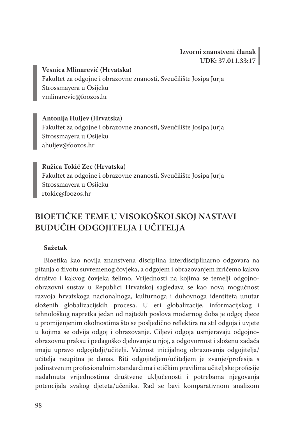**Vesnica Mlinarević (Hrvatska)** Fakultet za odgojne i obrazovne znanosti, Sveučilište Josipa Jurja Strossmayera u Osijeku vmlinarevic@foozos.hr

**Antonija Huljev (Hrvatska)** Fakultet za odgojne i obrazovne znanosti, Sveučilište Josipa Jurja Strossmayera u Osijeku ahuljev@foozos.hr

**Ružica Tokić Zec (Hrvatska)** Fakultet za odgojne i obrazovne znanosti, Sveučilište Josipa Jurja Strossmayera u Osijeku rtokic@foozos.hr

# **BIOETIČKE TEME U VISOKOŠKOLSKOJ NASTAVI BUDUĆIH ODGOJITELJA I UČITELJA**

## **Sažetak**

Bioetika kao novija znanstvena disciplina interdisciplinarno odgovara na pitanja o životu suvremenog čovjeka, a odgojem i obrazovanjem izričemo kakvo društvo i kakvog čovjeka želimo. Vrijednosti na kojima se temelji odgojnoobrazovni sustav u Republici Hrvatskoj sagledava se kao nova mogućnost razvoja hrvatskoga nacionalnoga, kulturnoga i duhovnoga identiteta unutar složenih globalizacijskih procesa. U eri globalizacije, informacijskog i tehnološkog napretka jedan od najtežih poslova modernog doba je odgoj djece u promijenjenim okolnostima što se posljedično reflektira na stil odgoja i uvjete u kojima se odvija odgoj i obrazovanje. Ciljevi odgoja usmjeravaju odgojnoobrazovnu praksu i pedagoško djelovanje u njoj, a odgovornost i složenu zadaća imaju upravo odgojitelji/učitelji. Važnost inicijalnog obrazovanja odgojitelja/ učitelja neupitna je danas. Biti odgojiteljem/učiteljem je zvanje/profesija s jedinstvenim profesionalnim standardima i etičkim pravilima učiteljske profesije nadahnuta vrijednostima društvene uključenosti i potrebama njegovanja potencijala svakog djeteta/učenika. Rad se bavi komparativnom analizom